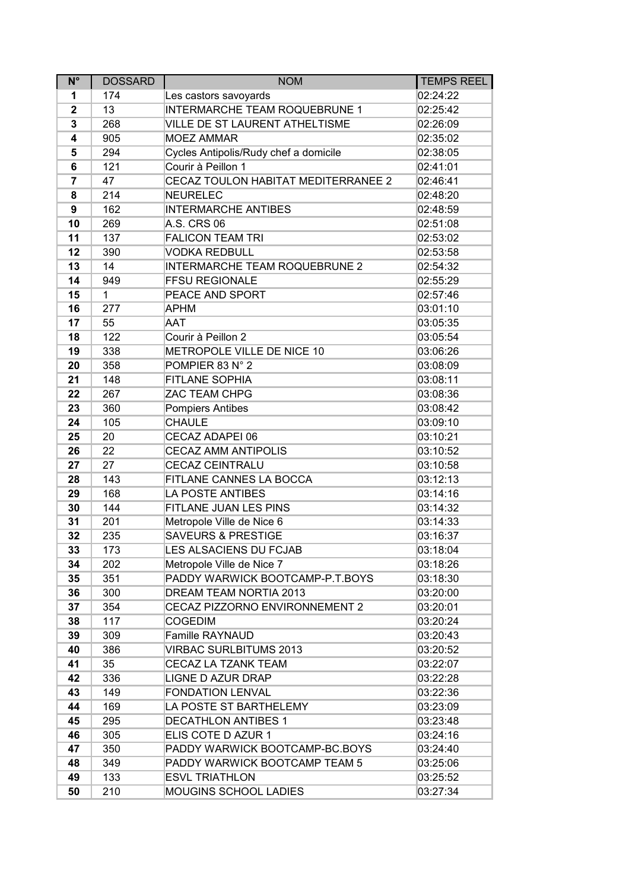| $N^{\circ}$ | <b>DOSSARD</b> | <b>NOM</b>                            | <b>TEMPS REEL</b> |
|-------------|----------------|---------------------------------------|-------------------|
| 1           | 174            | Les castors savoyards                 | 02:24:22          |
| $\mathbf 2$ | 13             | <b>INTERMARCHE TEAM ROQUEBRUNE 1</b>  | 02:25:42          |
| 3           | 268            | VILLE DE ST LAURENT ATHELTISME        | 02:26:09          |
| 4           | 905            | <b>MOEZ AMMAR</b>                     | 02:35:02          |
| 5           | 294            | Cycles Antipolis/Rudy chef a domicile | 02:38:05          |
| 6           | 121            | Courir à Peillon 1                    | 02:41:01          |
| 7           | 47             | CECAZ TOULON HABITAT MEDITERRANEE 2   | 02:46:41          |
| 8           | 214            | <b>NEURELEC</b>                       | 02:48:20          |
| 9           | 162            | <b>INTERMARCHE ANTIBES</b>            | 02:48:59          |
| 10          | 269            | A.S. CRS 06                           | 02:51:08          |
| 11          | 137            | <b>FALICON TEAM TRI</b>               | 02:53:02          |
| 12          | 390            | <b>VODKA REDBULL</b>                  | 02:53:58          |
| 13          | 14             | <b>INTERMARCHE TEAM ROQUEBRUNE 2</b>  | 02:54:32          |
| 14          | 949            | <b>FFSU REGIONALE</b>                 | 02:55:29          |
| 15          | $\mathbf{1}$   | PEACE AND SPORT                       | 02:57:46          |
| 16          | 277            | <b>APHM</b>                           | 03:01:10          |
| 17          | 55             | AAT                                   | 03:05:35          |
| 18          | 122            | Courir à Peillon 2                    | 03:05:54          |
| 19          | 338            | METROPOLE VILLE DE NICE 10            | 03:06:26          |
| 20          | 358            | POMPIER 83 N° 2                       | 03:08:09          |
| 21          | 148            | <b>FITLANE SOPHIA</b>                 | 03:08:11          |
| 22          | 267            | ZAC TEAM CHPG                         | 03:08:36          |
| 23          | 360            | <b>Pompiers Antibes</b>               | 03:08:42          |
| 24          | 105            | <b>CHAULE</b>                         | 03:09:10          |
| 25          | 20             | CECAZ ADAPEI 06                       | 03:10:21          |
| 26          | 22             | <b>CECAZ AMM ANTIPOLIS</b>            | 03:10:52          |
| 27          | 27             | CECAZ CEINTRALU                       | 03:10:58          |
| 28          | 143            | FITLANE CANNES LA BOCCA               | 03:12:13          |
| 29          | 168            | LA POSTE ANTIBES                      | 03:14:16          |
| 30          | 144            | FITLANE JUAN LES PINS                 | 03:14:32          |
| 31          | 201            | Metropole Ville de Nice 6             | 03:14:33          |
| 32          | 235            | <b>SAVEURS &amp; PRESTIGE</b>         | 03:16:37          |
| 33          | 173            | LES ALSACIENS DU FCJAB                | 03:18:04          |
| 34          | 202            | Metropole Ville de Nice 7             | 03:18:26          |
| 35          | 351            | PADDY WARWICK BOOTCAMP-P.T.BOYS       | 03:18:30          |
| 36          | 300            | DREAM TEAM NORTIA 2013                | 03:20:00          |
| 37          | 354            | CECAZ PIZZORNO ENVIRONNEMENT 2        | 03:20:01          |
| 38          | 117            | <b>COGEDIM</b>                        | 03:20:24          |
| 39          | 309            | <b>Famille RAYNAUD</b>                | 03:20:43          |
| 40          | 386            | <b>VIRBAC SURLBITUMS 2013</b>         | 03:20:52          |
| 41          | 35             | CECAZ LA TZANK TEAM                   | 03:22:07          |
| 42          | 336            | LIGNE D AZUR DRAP                     | 03:22:28          |
| 43          | 149            | <b>FONDATION LENVAL</b>               | 03:22:36          |
| 44          | 169            | LA POSTE ST BARTHELEMY                | 03:23:09          |
| 45          | 295            | <b>DECATHLON ANTIBES 1</b>            | 03:23:48          |
| 46          | 305            | ELIS COTE D AZUR 1                    | 03:24:16          |
| 47          | 350            | PADDY WARWICK BOOTCAMP-BC.BOYS        | 03:24:40          |
| 48          | 349            | PADDY WARWICK BOOTCAMP TEAM 5         | 03:25:06          |
| 49          | 133            | <b>ESVL TRIATHLON</b>                 | 03:25:52          |
| 50          | 210            | MOUGINS SCHOOL LADIES                 | 03:27:34          |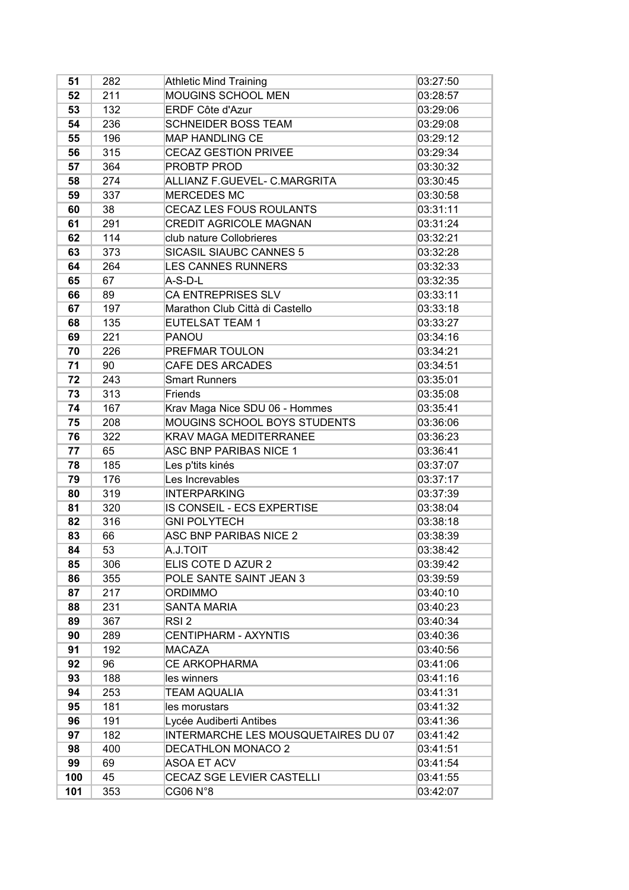| 51  | 282 | <b>Athletic Mind Training</b>       | 03:27:50 |
|-----|-----|-------------------------------------|----------|
| 52  | 211 | MOUGINS SCHOOL MEN                  | 03:28:57 |
| 53  | 132 | <b>ERDF Côte d'Azur</b>             | 03:29:06 |
| 54  | 236 | <b>SCHNEIDER BOSS TEAM</b>          | 03:29:08 |
| 55  | 196 | <b>MAP HANDLING CE</b>              | 03:29:12 |
| 56  | 315 | <b>CECAZ GESTION PRIVEE</b>         | 03:29:34 |
| 57  | 364 | <b>PROBTP PROD</b>                  | 03:30:32 |
| 58  | 274 | ALLIANZ F.GUEVEL- C.MARGRITA        | 03:30:45 |
| 59  | 337 | <b>MERCEDES MC</b>                  | 03:30:58 |
| 60  | 38  | CECAZ LES FOUS ROULANTS             | 03:31:11 |
| 61  | 291 | <b>CREDIT AGRICOLE MAGNAN</b>       | 03:31:24 |
| 62  | 114 | club nature Collobrieres            | 03:32:21 |
| 63  | 373 | SICASIL SIAUBC CANNES 5             | 03:32:28 |
| 64  | 264 | <b>LES CANNES RUNNERS</b>           | 03:32:33 |
| 65  | 67  | A-S-D-L                             | 03:32:35 |
| 66  | 89  | <b>CA ENTREPRISES SLV</b>           | 03:33:11 |
| 67  | 197 | Marathon Club Città di Castello     | 03:33:18 |
| 68  | 135 | <b>EUTELSAT TEAM 1</b>              | 03:33:27 |
| 69  | 221 | PANOU                               | 03:34:16 |
| 70  | 226 | PREFMAR TOULON                      | 03:34:21 |
| 71  | 90  | <b>CAFE DES ARCADES</b>             | 03:34:51 |
| 72  | 243 | <b>Smart Runners</b>                | 03:35:01 |
| 73  | 313 | Friends                             | 03:35:08 |
| 74  | 167 | Krav Maga Nice SDU 06 - Hommes      | 03:35:41 |
| 75  | 208 | MOUGINS SCHOOL BOYS STUDENTS        | 03:36:06 |
| 76  | 322 | <b>KRAV MAGA MEDITERRANEE</b>       | 03:36:23 |
| 77  | 65  | ASC BNP PARIBAS NICE 1              | 03:36:41 |
| 78  | 185 | Les p'tits kinés                    | 03:37:07 |
| 79  | 176 | Les Increvables                     | 03:37:17 |
| 80  | 319 | <b>INTERPARKING</b>                 | 03:37:39 |
| 81  | 320 | IS CONSEIL - ECS EXPERTISE          | 03:38:04 |
| 82  | 316 | <b>GNI POLYTECH</b>                 | 03:38:18 |
| 83  | 66  | ASC BNP PARIBAS NICE 2              | 03:38:39 |
| 84  | 53  | A.J.TOIT                            | 03:38:42 |
| 85  | 306 | ELIS COTE D AZUR 2                  | 03:39:42 |
| 86  | 355 | POLE SANTE SAINT JEAN 3             | 03:39:59 |
| 87  | 217 | <b>ORDIMMO</b>                      | 03:40:10 |
| 88  | 231 | <b>SANTA MARIA</b>                  | 03:40:23 |
| 89  | 367 | RSI <sub>2</sub>                    | 03:40:34 |
| 90  | 289 | <b>CENTIPHARM - AXYNTIS</b>         | 03:40:36 |
| 91  | 192 | MACAZA                              | 03:40:56 |
| 92  | 96  | <b>CE ARKOPHARMA</b>                | 03:41:06 |
| 93  | 188 | les winners                         | 03:41:16 |
| 94  | 253 | <b>TEAM AQUALIA</b>                 | 03:41:31 |
| 95  | 181 | les morustars                       | 03:41:32 |
| 96  | 191 | Lycée Audiberti Antibes             | 03:41:36 |
| 97  | 182 | INTERMARCHE LES MOUSQUETAIRES DU 07 | 03:41:42 |
| 98  | 400 | <b>DECATHLON MONACO 2</b>           | 03:41:51 |
| 99  | 69  | <b>ASOA ET ACV</b>                  | 03:41:54 |
| 100 | 45  | CECAZ SGE LEVIER CASTELLI           | 03:41:55 |
| 101 | 353 | CG06 N°8                            | 03:42:07 |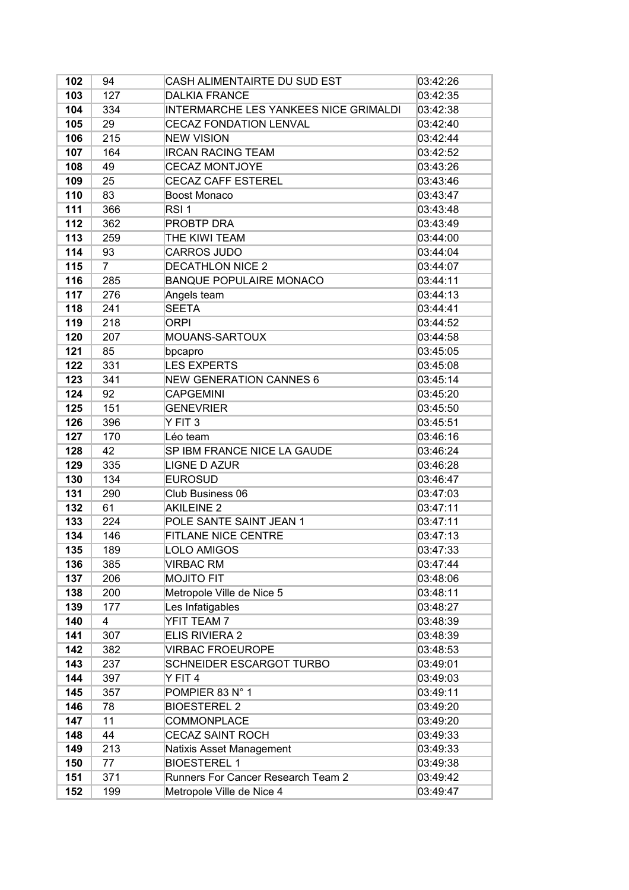| 102 | 94             | CASH ALIMENTAIRTE DU SUD EST                 | 03:42:26 |
|-----|----------------|----------------------------------------------|----------|
| 103 | 127            | <b>DALKIA FRANCE</b>                         | 03:42:35 |
| 104 | 334            | <b>INTERMARCHE LES YANKEES NICE GRIMALDI</b> | 03:42:38 |
| 105 | 29             | <b>CECAZ FONDATION LENVAL</b>                | 03:42:40 |
| 106 | 215            | <b>NEW VISION</b>                            | 03:42:44 |
| 107 | 164            | <b>IRCAN RACING TEAM</b>                     | 03:42:52 |
| 108 | 49             | <b>CECAZ MONTJOYE</b>                        | 03:43:26 |
| 109 | 25             | <b>CECAZ CAFF ESTEREL</b>                    | 03:43:46 |
| 110 | 83             | <b>Boost Monaco</b>                          | 03:43:47 |
| 111 | 366            | RSI <sub>1</sub>                             | 03:43:48 |
| 112 | 362            | PROBTP DRA                                   | 03:43:49 |
| 113 | 259            | THE KIWI TEAM                                | 03:44:00 |
| 114 | 93             | <b>CARROS JUDO</b>                           | 03:44:04 |
| 115 | $\overline{7}$ | <b>DECATHLON NICE 2</b>                      | 03:44:07 |
| 116 | 285            | <b>BANQUE POPULAIRE MONACO</b>               | 03:44:11 |
| 117 | 276            | Angels team                                  | 03:44:13 |
| 118 | 241            | <b>SEETA</b>                                 | 03:44:41 |
| 119 | 218            | <b>ORPI</b>                                  | 03:44:52 |
| 120 | 207            | MOUANS-SARTOUX                               | 03:44:58 |
| 121 | 85             | bpcapro                                      | 03:45:05 |
| 122 | 331            | <b>LES EXPERTS</b>                           | 03:45:08 |
| 123 | 341            | <b>NEW GENERATION CANNES 6</b>               | 03:45:14 |
| 124 | 92             | <b>CAPGEMINI</b>                             | 03:45:20 |
| 125 | 151            | <b>GENEVRIER</b>                             | 03:45:50 |
| 126 | 396            | Y FIT <sub>3</sub>                           | 03:45:51 |
| 127 | 170            | Léo team                                     | 03:46:16 |
| 128 | 42             | SP IBM FRANCE NICE LA GAUDE                  | 03:46:24 |
| 129 | 335            | <b>LIGNE D AZUR</b>                          | 03:46:28 |
| 130 | 134            | <b>EUROSUD</b>                               | 03:46:47 |
| 131 | 290            | Club Business 06                             | 03:47:03 |
| 132 | 61             | <b>AKILEINE 2</b>                            | 03:47:11 |
| 133 | 224            | POLE SANTE SAINT JEAN 1                      | 03:47:11 |
| 134 | 146            | FITLANE NICE CENTRE                          | 03:47:13 |
| 135 | 189            | <b>LOLO AMIGOS</b>                           | 03:47:33 |
| 136 | 385            | <b>VIRBAC RM</b>                             | 03:47:44 |
| 137 | 206            | <b>MOJITO FIT</b>                            | 03:48:06 |
| 138 | 200            | Metropole Ville de Nice 5                    | 03:48:11 |
| 139 | 177            | Les Infatigables                             | 03:48:27 |
| 140 | 4              | YFIT TEAM 7                                  | 03:48:39 |
| 141 | 307            | ELIS RIVIERA 2                               | 03:48:39 |
| 142 | 382            | <b>VIRBAC FROEUROPE</b>                      | 03:48:53 |
| 143 | 237            | <b>SCHNEIDER ESCARGOT TURBO</b>              | 03:49:01 |
| 144 | 397            | Y FIT 4                                      | 03:49:03 |
| 145 | 357            | POMPIER 83 N° 1                              | 03:49:11 |
| 146 | 78             | <b>BIOESTEREL 2</b>                          | 03:49:20 |
| 147 | 11             | COMMONPLACE                                  | 03:49:20 |
| 148 | 44             | <b>CECAZ SAINT ROCH</b>                      | 03:49:33 |
| 149 | 213            | Natixis Asset Management                     | 03:49:33 |
| 150 | 77             | <b>BIOESTEREL 1</b>                          | 03:49:38 |
| 151 | 371            | Runners For Cancer Research Team 2           | 03:49:42 |
| 152 | 199            | Metropole Ville de Nice 4                    | 03:49:47 |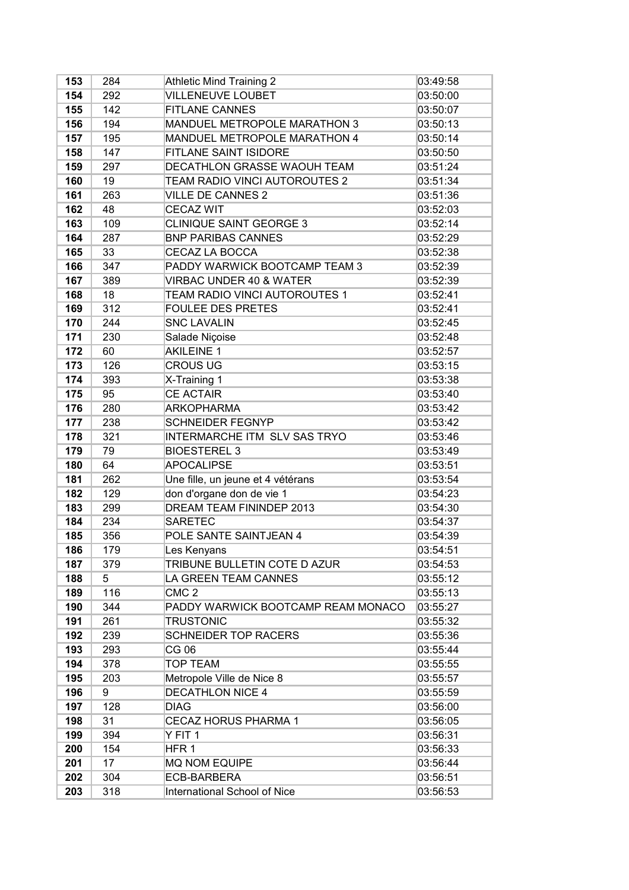| 153 | 284 | <b>Athletic Mind Training 2</b>     | 03:49:58 |
|-----|-----|-------------------------------------|----------|
| 154 | 292 | <b>VILLENEUVE LOUBET</b>            | 03:50:00 |
| 155 | 142 | <b>FITLANE CANNES</b>               | 03:50:07 |
| 156 | 194 | MANDUEL METROPOLE MARATHON 3        | 03:50:13 |
| 157 | 195 | MANDUEL METROPOLE MARATHON 4        | 03:50:14 |
| 158 | 147 | FITLANE SAINT ISIDORE               | 03:50:50 |
| 159 | 297 | DECATHLON GRASSE WAOUH TEAM         | 03:51:24 |
| 160 | 19  | TEAM RADIO VINCI AUTOROUTES 2       | 03:51:34 |
| 161 | 263 | <b>VILLE DE CANNES 2</b>            | 03:51:36 |
| 162 | 48  | <b>CECAZ WIT</b>                    | 03:52:03 |
| 163 | 109 | CLINIQUE SAINT GEORGE 3             | 03:52:14 |
| 164 | 287 | <b>BNP PARIBAS CANNES</b>           | 03:52:29 |
| 165 | 33  | CECAZ LA BOCCA                      | 03:52:38 |
| 166 | 347 | PADDY WARWICK BOOTCAMP TEAM 3       | 03:52:39 |
| 167 | 389 | <b>VIRBAC UNDER 40 &amp; WATER</b>  | 03:52:39 |
| 168 | 18  | TEAM RADIO VINCI AUTOROUTES 1       | 03:52:41 |
| 169 | 312 | <b>FOULEE DES PRETES</b>            | 03:52:41 |
| 170 | 244 | <b>SNC LAVALIN</b>                  | 03:52:45 |
| 171 | 230 | Salade Niçoise                      | 03:52:48 |
| 172 | 60  | <b>AKILEINE 1</b>                   | 03:52:57 |
| 173 | 126 | <b>CROUS UG</b>                     | 03:53:15 |
| 174 | 393 | X-Training 1                        | 03:53:38 |
| 175 | 95  | <b>CE ACTAIR</b>                    | 03:53:40 |
| 176 | 280 | <b>ARKOPHARMA</b>                   | 03:53:42 |
| 177 | 238 | <b>SCHNEIDER FEGNYP</b>             | 03:53:42 |
| 178 | 321 | INTERMARCHE ITM SLV SAS TRYO        | 03:53:46 |
| 179 | 79  | <b>BIOESTEREL 3</b>                 | 03:53:49 |
| 180 | 64  | <b>APOCALIPSE</b>                   | 03:53:51 |
| 181 | 262 | Une fille, un jeune et 4 vétérans   | 03:53:54 |
| 182 | 129 | don d'organe don de vie 1           | 03:54:23 |
| 183 | 299 | DREAM TEAM FININDEP 2013            | 03:54:30 |
| 184 | 234 | <b>SARETEC</b>                      | 03:54:37 |
| 185 | 356 | POLE SANTE SAINTJEAN 4              | 03:54:39 |
| 186 | 179 | Les Kenyans                         | 03:54:51 |
| 187 | 379 | TRIBUNE BULLETIN COTE D AZUR        | 03:54:53 |
| 188 | 5   | LA GREEN TEAM CANNES                | 03:55:12 |
| 189 | 116 | CMC <sub>2</sub>                    | 03:55:13 |
| 190 | 344 | PADDY WARWICK BOOTCAMP REAM MONACO  | 03:55:27 |
| 191 | 261 | <b>TRUSTONIC</b>                    | 03:55:32 |
| 192 | 239 | SCHNEIDER TOP RACERS                | 03:55:36 |
| 193 | 293 | CG 06                               | 03:55:44 |
| 194 | 378 | <b>TOP TEAM</b>                     | 03:55:55 |
| 195 | 203 | Metropole Ville de Nice 8           | 03:55:57 |
| 196 | 9   | <b>DECATHLON NICE 4</b>             | 03:55:59 |
| 197 | 128 | <b>DIAG</b>                         | 03:56:00 |
| 198 | 31  | <b>CECAZ HORUS PHARMA 1</b>         | 03:56:05 |
| 199 | 394 | Y FIT 1                             | 03:56:31 |
| 200 | 154 | HFR 1                               | 03:56:33 |
| 201 | 17  | <b>MQ NOM EQUIPE</b>                | 03:56:44 |
| 202 | 304 | ECB-BARBERA                         | 03:56:51 |
| 203 | 318 | <b>International School of Nice</b> | 03:56:53 |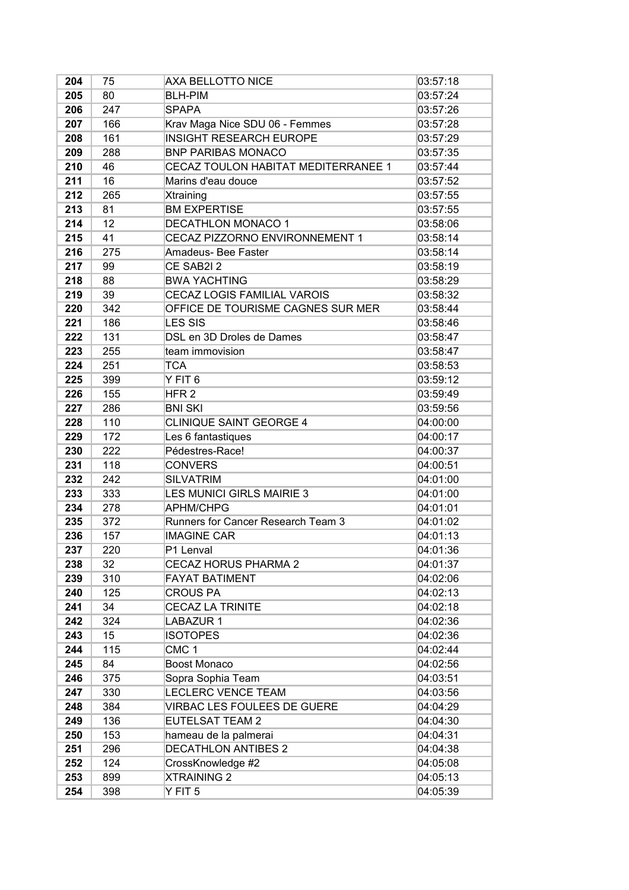| 204 | 75  | AXA BELLOTTO NICE                   | 03:57:18 |
|-----|-----|-------------------------------------|----------|
| 205 | 80  | <b>BLH-PIM</b>                      | 03:57:24 |
| 206 | 247 | <b>SPAPA</b>                        | 03:57:26 |
| 207 | 166 | Krav Maga Nice SDU 06 - Femmes      | 03:57:28 |
| 208 | 161 | <b>INSIGHT RESEARCH EUROPE</b>      | 03:57:29 |
| 209 | 288 | <b>BNP PARIBAS MONACO</b>           | 03:57:35 |
| 210 | 46  | CECAZ TOULON HABITAT MEDITERRANEE 1 | 03:57:44 |
| 211 | 16  | Marins d'eau douce                  | 03:57:52 |
| 212 | 265 | Xtraining                           | 03:57:55 |
| 213 | 81  | <b>BM EXPERTISE</b>                 | 03:57:55 |
| 214 | 12  | <b>DECATHLON MONACO 1</b>           | 03:58:06 |
| 215 | 41  | CECAZ PIZZORNO ENVIRONNEMENT 1      | 03:58:14 |
| 216 | 275 | Amadeus- Bee Faster                 | 03:58:14 |
| 217 | 99  | CE SAB2I 2                          | 03:58:19 |
| 218 | 88  | <b>BWA YACHTING</b>                 | 03:58:29 |
| 219 | 39  | CECAZ LOGIS FAMILIAL VAROIS         | 03:58:32 |
| 220 | 342 | OFFICE DE TOURISME CAGNES SUR MER   | 03:58:44 |
| 221 | 186 | <b>LES SIS</b>                      | 03:58:46 |
| 222 | 131 | DSL en 3D Droles de Dames           | 03:58:47 |
| 223 | 255 | team immovision                     | 03:58:47 |
| 224 | 251 | <b>TCA</b>                          | 03:58:53 |
| 225 | 399 | Y FIT 6                             | 03:59:12 |
| 226 | 155 | HFR <sub>2</sub>                    | 03:59:49 |
| 227 | 286 | <b>BNI SKI</b>                      | 03:59:56 |
| 228 | 110 | CLINIQUE SAINT GEORGE 4             | 04:00:00 |
| 229 | 172 | Les 6 fantastiques                  | 04:00:17 |
| 230 | 222 | Pédestres-Race!                     | 04:00:37 |
| 231 | 118 | <b>CONVERS</b>                      | 04:00:51 |
| 232 | 242 | <b>SILVATRIM</b>                    | 04:01:00 |
| 233 | 333 | LES MUNICI GIRLS MAIRIE 3           | 04:01:00 |
| 234 | 278 | <b>APHM/CHPG</b>                    | 04:01:01 |
| 235 | 372 | Runners for Cancer Research Team 3  | 04:01:02 |
| 236 | 157 | <b>IMAGINE CAR</b>                  | 04:01:13 |
| 237 | 220 | P1 Lenval                           | 04:01:36 |
| 238 | 32  | <b>CECAZ HORUS PHARMA 2</b>         | 04:01:37 |
| 239 | 310 | <b>FAYAT BATIMENT</b>               | 04:02:06 |
| 240 | 125 | <b>CROUS PA</b>                     | 04:02:13 |
| 241 | 34  | <b>CECAZ LA TRINITE</b>             | 04:02:18 |
| 242 | 324 | LABAZUR 1                           | 04:02:36 |
| 243 | 15  | <b>ISOTOPES</b>                     | 04:02:36 |
| 244 | 115 | CMC <sub>1</sub>                    | 04:02:44 |
| 245 | 84  | Boost Monaco                        | 04:02:56 |
| 246 | 375 | Sopra Sophia Team                   | 04:03:51 |
| 247 | 330 | LECLERC VENCE TEAM                  | 04:03:56 |
| 248 | 384 | VIRBAC LES FOULEES DE GUERE         | 04:04:29 |
| 249 | 136 | <b>EUTELSAT TEAM 2</b>              | 04:04:30 |
| 250 | 153 | hameau de la palmerai               | 04:04:31 |
| 251 | 296 | <b>DECATHLON ANTIBES 2</b>          | 04:04:38 |
| 252 | 124 | CrossKnowledge #2                   | 04:05:08 |
| 253 | 899 | <b>XTRAINING 2</b>                  | 04:05:13 |
| 254 | 398 | Y FIT 5                             | 04:05:39 |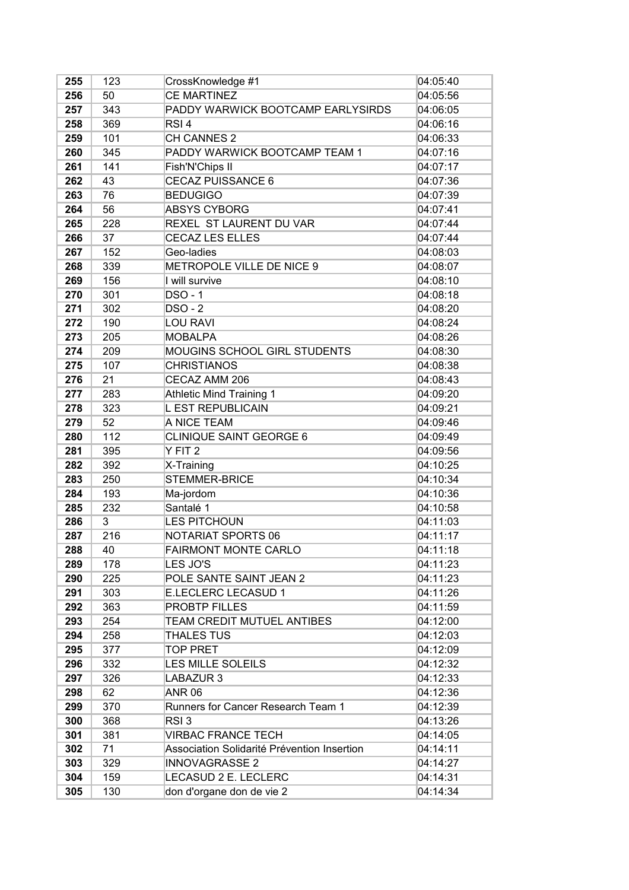| 255 | 123 | CrossKnowledge #1                           | 04:05:40 |
|-----|-----|---------------------------------------------|----------|
| 256 | 50  | <b>CE MARTINEZ</b>                          | 04:05:56 |
| 257 | 343 | PADDY WARWICK BOOTCAMP EARLYSIRDS           | 04:06:05 |
| 258 | 369 | RSI <sub>4</sub>                            | 04:06:16 |
| 259 | 101 | CH CANNES 2                                 | 04:06:33 |
| 260 | 345 | PADDY WARWICK BOOTCAMP TEAM 1               | 04:07:16 |
| 261 | 141 | Fish'N'Chips II                             | 04:07:17 |
| 262 | 43  | CECAZ PUISSANCE 6                           | 04:07:36 |
| 263 | 76  | <b>BEDUGIGO</b>                             | 04:07:39 |
| 264 | 56  | <b>ABSYS CYBORG</b>                         | 04:07:41 |
| 265 | 228 | REXEL ST LAURENT DU VAR                     | 04:07:44 |
| 266 | 37  | <b>CECAZ LES ELLES</b>                      | 04:07:44 |
| 267 | 152 | Geo-ladies                                  | 04:08:03 |
| 268 | 339 | METROPOLE VILLE DE NICE 9                   | 04:08:07 |
| 269 | 156 | I will survive                              | 04:08:10 |
| 270 | 301 | <b>DSO - 1</b>                              | 04:08:18 |
| 271 | 302 | <b>DSO - 2</b>                              | 04:08:20 |
| 272 | 190 | <b>LOU RAVI</b>                             | 04:08:24 |
| 273 | 205 | <b>MOBALPA</b>                              | 04:08:26 |
| 274 | 209 | MOUGINS SCHOOL GIRL STUDENTS                | 04:08:30 |
| 275 | 107 | <b>CHRISTIANOS</b>                          | 04:08:38 |
| 276 | 21  | CECAZ AMM 206                               | 04:08:43 |
| 277 | 283 | <b>Athletic Mind Training 1</b>             | 04:09:20 |
| 278 | 323 | L EST REPUBLICAIN                           | 04:09:21 |
| 279 | 52  | A NICE TEAM                                 | 04:09:46 |
| 280 | 112 | <b>CLINIQUE SAINT GEORGE 6</b>              | 04:09:49 |
| 281 | 395 | Y FIT <sub>2</sub>                          | 04:09:56 |
| 282 | 392 | X-Training                                  | 04:10:25 |
| 283 | 250 | STEMMER-BRICE                               | 04:10:34 |
| 284 | 193 | Ma-jordom                                   | 04:10:36 |
| 285 | 232 | Santalé 1                                   | 04:10:58 |
| 286 | 3   | <b>LES PITCHOUN</b>                         | 04:11:03 |
| 287 | 216 | NOTARIAT SPORTS 06                          | 04:11:17 |
| 288 | 40  | FAIRMONT MONTE CARLO                        | 04:11:18 |
| 289 | 178 | LES JO'S                                    | 04:11:23 |
| 290 | 225 | POLE SANTE SAINT JEAN 2                     | 04:11:23 |
| 291 | 303 | E.LECLERC LECASUD 1                         | 04:11:26 |
| 292 | 363 | PROBTP FILLES                               | 04:11:59 |
| 293 | 254 | TEAM CREDIT MUTUEL ANTIBES                  | 04:12:00 |
| 294 | 258 | <b>THALES TUS</b>                           | 04:12:03 |
| 295 | 377 | <b>TOP PRET</b>                             | 04:12:09 |
| 296 | 332 | LES MILLE SOLEILS                           | 04:12:32 |
| 297 | 326 | LABAZUR 3                                   | 04:12:33 |
| 298 | 62  | <b>ANR 06</b>                               | 04:12:36 |
| 299 | 370 | Runners for Cancer Research Team 1          | 04:12:39 |
| 300 | 368 | RSI <sub>3</sub>                            | 04:13:26 |
| 301 | 381 | <b>VIRBAC FRANCE TECH</b>                   | 04:14:05 |
| 302 | 71  | Association Solidarité Prévention Insertion | 04:14:11 |
| 303 | 329 | <b>INNOVAGRASSE 2</b>                       | 04:14:27 |
| 304 | 159 | LECASUD 2 E. LECLERC                        | 04:14:31 |
| 305 | 130 | don d'organe don de vie 2                   | 04:14:34 |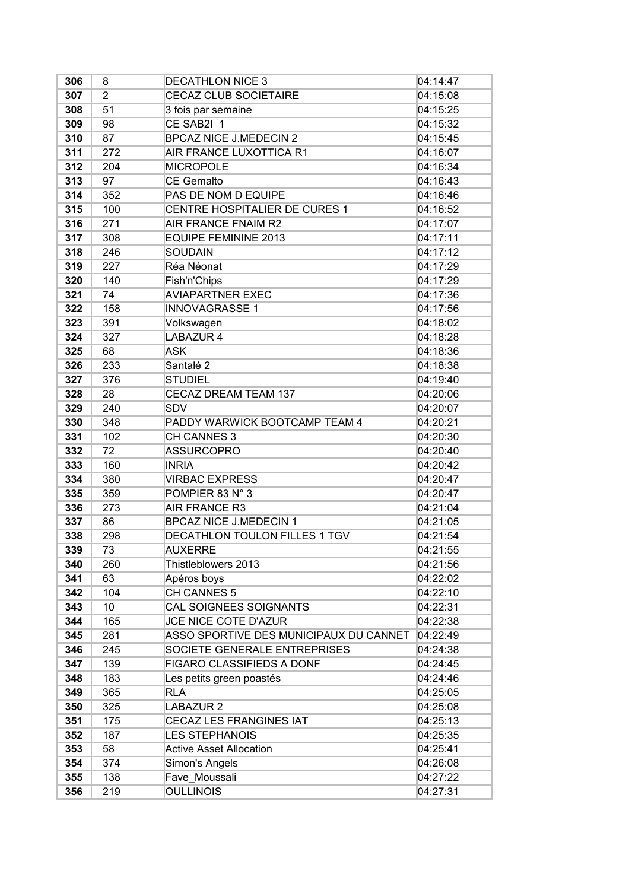| 306 | 8              | <b>DECATHLON NICE 3</b>                | 04:14:47 |
|-----|----------------|----------------------------------------|----------|
| 307 | $\overline{2}$ | <b>CECAZ CLUB SOCIETAIRE</b>           | 04:15:08 |
| 308 | 51             | 3 fois par semaine                     | 04:15:25 |
| 309 | 98             | CE SAB2I 1                             | 04:15:32 |
| 310 | 87             | <b>BPCAZ NICE J.MEDECIN 2</b>          | 04:15:45 |
| 311 | 272            | AIR FRANCE LUXOTTICA R1                | 04:16:07 |
| 312 | 204            | <b>MICROPOLE</b>                       | 04:16:34 |
| 313 | 97             | <b>CE Gemalto</b>                      | 04:16:43 |
| 314 | 352            | PAS DE NOM D EQUIPE                    | 04:16:46 |
| 315 | 100            | CENTRE HOSPITALIER DE CURES 1          | 04:16:52 |
| 316 | 271            | AIR FRANCE FNAIM R2                    | 04:17:07 |
| 317 | 308            | <b>EQUIPE FEMININE 2013</b>            | 04:17:11 |
| 318 | 246            | SOUDAIN                                | 04:17:12 |
| 319 | 227            | Réa Néonat                             | 04:17:29 |
| 320 | 140            | Fish'n'Chips                           | 04:17:29 |
| 321 | 74             | <b>AVIAPARTNER EXEC</b>                | 04:17:36 |
| 322 | 158            | <b>INNOVAGRASSE 1</b>                  | 04:17:56 |
| 323 | 391            | Volkswagen                             | 04:18:02 |
| 324 | 327            | LABAZUR 4                              | 04:18:28 |
| 325 | 68             | <b>ASK</b>                             | 04:18:36 |
| 326 | 233            | Santalé 2                              | 04:18:38 |
| 327 | 376            | <b>STUDIEL</b>                         | 04:19:40 |
| 328 | 28             | CECAZ DREAM TEAM 137                   | 04:20:06 |
| 329 | 240            | <b>SDV</b>                             | 04:20:07 |
| 330 | 348            | PADDY WARWICK BOOTCAMP TEAM 4          | 04:20:21 |
| 331 | 102            | CH CANNES 3                            | 04:20:30 |
| 332 | 72             | ASSURCOPRO                             | 04:20:40 |
| 333 | 160            | <b>INRIA</b>                           | 04:20:42 |
| 334 | 380            | <b>VIRBAC EXPRESS</b>                  | 04:20:47 |
| 335 | 359            | POMPIER 83 N° 3                        | 04:20:47 |
| 336 | 273            | AIR FRANCE R3                          | 04:21:04 |
| 337 | 86             | <b>BPCAZ NICE J.MEDECIN 1</b>          | 04:21:05 |
| 338 | 298            | DECATHLON TOULON FILLES 1 TGV          | 04:21:54 |
| 339 | 73             | <b>AUXERRE</b>                         | 04:21:55 |
| 340 | 260            | Thistleblowers 2013                    | 04:21:56 |
| 341 | 63             | Apéros boys                            | 04:22:02 |
| 342 | 104            | CH CANNES 5                            | 04:22:10 |
| 343 | 10             | CAL SOIGNEES SOIGNANTS                 | 04:22:31 |
| 344 | 165            | JCE NICE COTE D'AZUR                   | 04:22:38 |
| 345 | 281            | ASSO SPORTIVE DES MUNICIPAUX DU CANNET | 04:22:49 |
| 346 | 245            | SOCIETE GENERALE ENTREPRISES           | 04:24:38 |
| 347 | 139            | FIGARO CLASSIFIEDS A DONF              | 04:24:45 |
| 348 | 183            | Les petits green poastés               | 04:24:46 |
| 349 | 365            | <b>RLA</b>                             | 04:25:05 |
| 350 | 325            | LABAZUR 2                              | 04:25:08 |
| 351 | 175            | CECAZ LES FRANGINES IAT                | 04:25:13 |
| 352 | 187            | <b>LES STEPHANOIS</b>                  | 04:25:35 |
| 353 | 58             | <b>Active Asset Allocation</b>         | 04:25:41 |
| 354 | 374            | Simon's Angels                         | 04:26:08 |
| 355 | 138            | Fave Moussali                          | 04:27:22 |
| 356 | 219            | <b>OULLINOIS</b>                       | 04:27:31 |